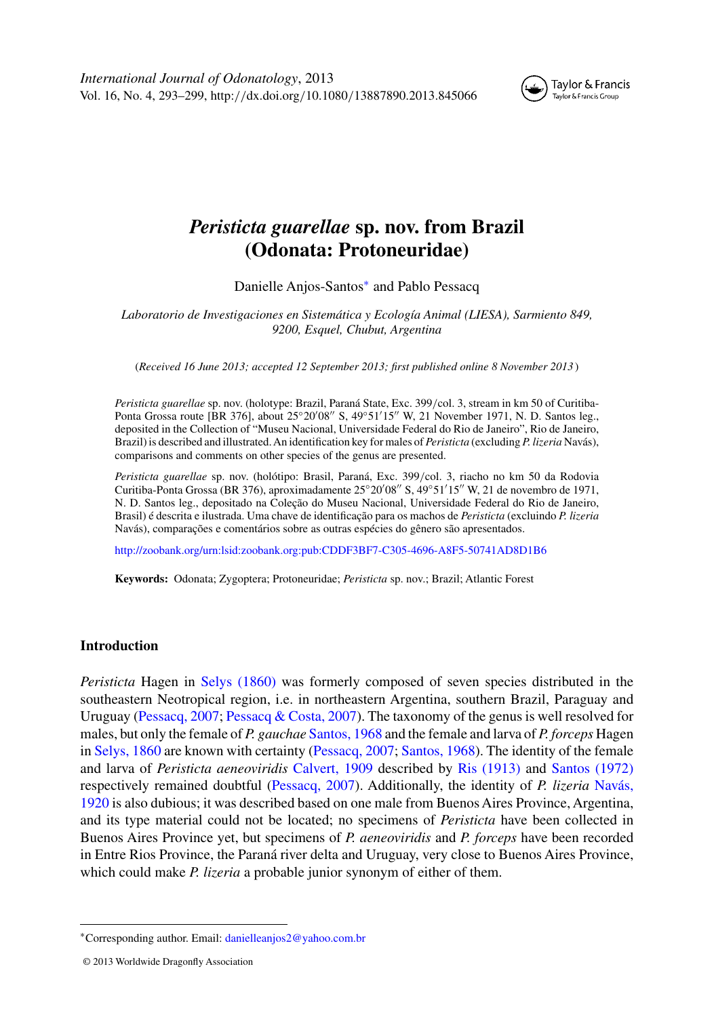

# *Peristicta guarellae* **sp. nov. from Brazil (Odonata: Protoneuridae)**

Danielle Anjos-Santos<sup>∗</sup> and Pablo Pessacq

*Laboratorio de Investigaciones en Sistemática y Ecología Animal (LIESA), Sarmiento 849, 9200, Esquel, Chubut, Argentina*

(*Received 16 June 2013; accepted 12 September 2013; first published online 8 November 2013* )

*Peristicta guarellae* sp. nov. (holotype: Brazil, Paraná State, Exc. 399*/*col. 3, stream in km 50 of Curitiba-Ponta Grossa route [BR 376], about 25°20′08″ S, 49°51′15″ W, 21 November 1971, N. D. Santos leg., deposited in the Collection of "Museu Nacional, Universidade Federal do Rio de Janeiro", Rio de Janeiro, Brazil) is described and illustrated.An identification key for males of *Peristicta* (excluding *P. lizeria* Navás), comparisons and comments on other species of the genus are presented.

*Peristicta guarellae* sp. nov. (holótipo: Brasil, Paraná, Exc. 399*/*col. 3, riacho no km 50 da Rodovia Curitiba-Ponta Grossa (BR 376), aproximadamente 25°20′08″ S, 49°51′15″ W, 21 de novembro de 1971, N. D. Santos leg., depositado na Coleção do Museu Nacional, Universidade Federal do Rio de Janeiro, Brasil) é descrita e ilustrada. Uma chave de identificação para os machos de *Peristicta* (excluindo *P. lizeria* Navás), comparações e comentários sobre as outras espécies do gênero são apresentados.

<http://zoobank.org/urn:lsid:zoobank.org:pub:CDDF3BF7-C305-4696-A8F5-50741AD8D1B6>

**Keywords:** Odonata; Zygoptera; Protoneuridae; *Peristicta* sp. nov.; Brazil; Atlantic Forest

# **Introduction**

*Peristicta* Hagen in [Selys \(1860\)](#page-6-0) was formerly composed of seven species distributed in the southeastern Neotropical region, i.e. in northeastern Argentina, southern Brazil, Paraguay and Uruguay [\(Pessacq, 2007;](#page-6-0) [Pessacq & Costa, 2007\)](#page-6-0). The taxonomy of the genus is well resolved for males, but only the female of *P. gauchae* [Santos, 1968](#page-6-0) and the female and larva of *P. forceps* Hagen in [Selys, 1860](#page-6-0) are known with certainty [\(Pessacq, 2007;](#page-6-0) [Santos, 1968\)](#page-6-0). The identity of the female and larva of *Peristicta aeneoviridis* [Calvert, 1909](#page-6-0) described by [Ris \(1913\)](#page-6-0) and [Santos \(1972\)](#page-6-0) resp[ectively](#page-6-0) [remained](#page-6-0) [doubtful](#page-6-0) [\(Pessacq, 2007\).](#page-6-0) [Additionally,](#page-6-0) [the](#page-6-0) [identity](#page-6-0) [of](#page-6-0) *P. lizeria* Navás, 1920 is also dubious; it was described based on one male from Buenos Aires Province, Argentina, and its type material could not be located; no specimens of *Peristicta* have been collected in Buenos Aires Province yet, but specimens of *P. aeneoviridis* and *P. forceps* have been recorded in Entre Rios Province, the Paraná river delta and Uruguay, very close to Buenos Aires Province, which could make *P. lizeria* a probable junior synonym of either of them.

<sup>∗</sup>Corresponding author. Email: [danielleanjos2@yahoo.com.br](mailto:danielleanjos2@yahoo.com.br)

<sup>© 2013</sup> Worldwide Dragonfly Association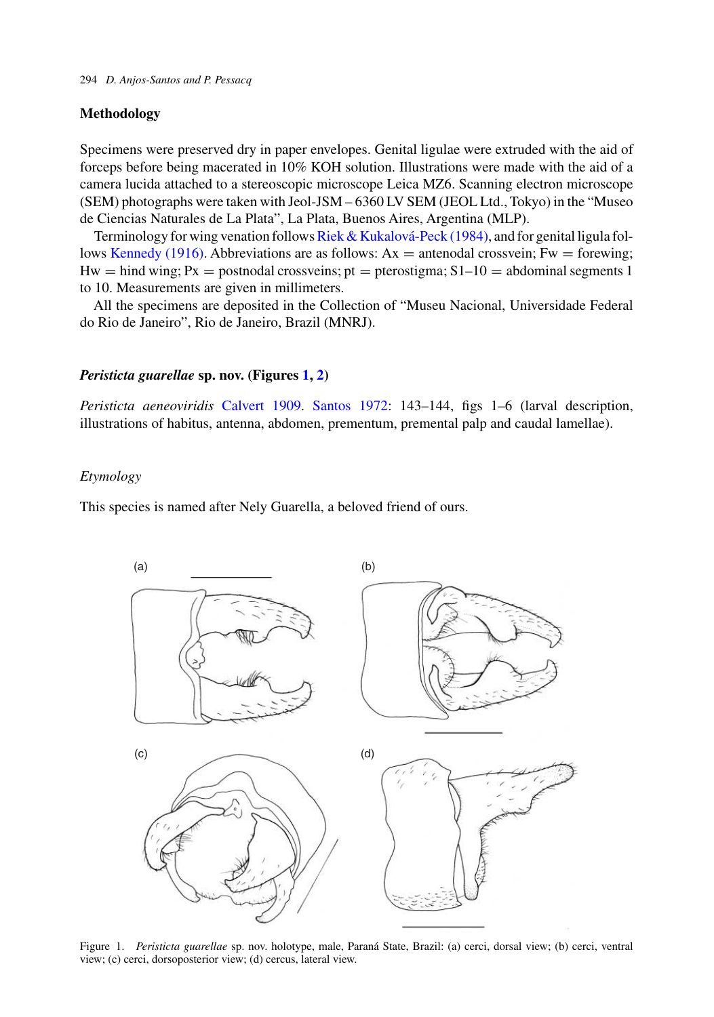# <span id="page-1-0"></span>**Methodology**

Specimens were preserved dry in paper envelopes. Genital ligulae were extruded with the aid of forceps before being macerated in 10% KOH solution. Illustrations were made with the aid of a camera lucida attached to a stereoscopic microscope Leica MZ6. Scanning electron microscope (SEM) photographs were taken with Jeol-JSM – 6360 LV SEM (JEOL Ltd., Tokyo) in the "Museo de Ciencias Naturales de La Plata", La Plata, Buenos Aires, Argentina (MLP).

Terminology for wing venation follows [Riek & Kukalová-Peck \(1984\),](#page-6-0) and for genital ligula fol-lows [Kennedy \(1916\).](#page-6-0) Abbreviations are as follows:  $Ax =$  antenodal crossvein; Fw = forewing;  $Hw = hind wing; Px = postnodal crossveins; pt = pterostigma; S1-10 = abdominal segments 1$ to 10. Measurements are given in millimeters.

All the specimens are deposited in the Collection of "Museu Nacional, Universidade Federal do Rio de Janeiro", Rio de Janeiro, Brazil (MNRJ).

#### *Peristicta guarellae* **sp. nov. (Figures 1, [2\)](#page-2-0)**

*Peristicta aeneoviridis* [Calvert 1909.](#page-6-0) [Santos 1972:](#page-6-0) 143–144, figs 1–6 (larval description, illustrations of habitus, antenna, abdomen, prementum, premental palp and caudal lamellae).

#### *Etymology*

This species is named after Nely Guarella, a beloved friend of ours.



Figure 1. *Peristicta guarellae* sp. nov. holotype, male, Paraná State, Brazil: (a) cerci, dorsal view; (b) cerci, ventral view; (c) cerci, dorsoposterior view; (d) cercus, lateral view.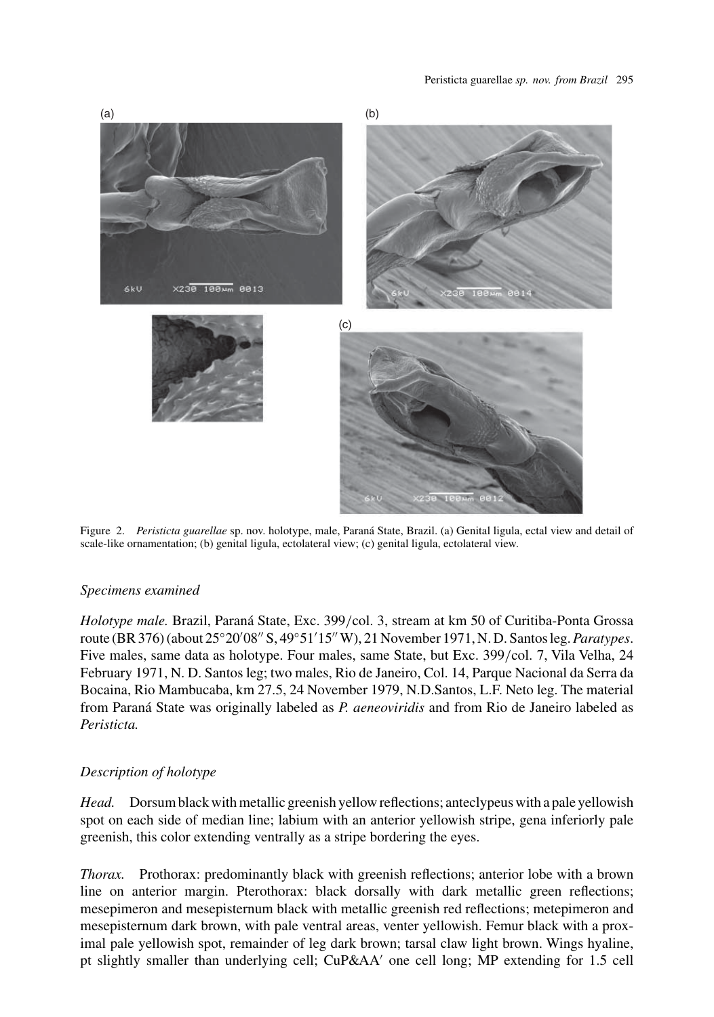<span id="page-2-0"></span>

Figure 2. *Peristicta guarellae* sp. nov. holotype, male, Paraná State, Brazil. (a) Genital ligula, ectal view and detail of scale-like ornamentation; (b) genital ligula, ectolateral view; (c) genital ligula, ectolateral view.

# *Specimens examined*

*Holotype male.* Brazil, Paraná State, Exc. 399*/*col. 3, stream at km 50 of Curitiba-Ponta Grossa route (BR 376) (about 25◦20 08 S, 49◦51 15 W), 21 November 1971, N. D. Santos leg.*Paratypes*. Five males, same data as holotype. Four males, same State, but Exc. 399*/*col. 7, Vila Velha, 24 February 1971, N. D. Santos leg; two males, Rio de Janeiro, Col. 14, Parque Nacional da Serra da Bocaina, Rio Mambucaba, km 27.5, 24 November 1979, N.D.Santos, L.F. Neto leg. The material from Paraná State was originally labeled as *P. aeneoviridis* and from Rio de Janeiro labeled as *Peristicta.*

# *Description of holotype*

*Head.* Dorsum black with metallic greenish yellow reflections; anteclypeus with a pale yellowish spot on each side of median line; labium with an anterior yellowish stripe, gena inferiorly pale greenish, this color extending ventrally as a stripe bordering the eyes.

*Thorax.* Prothorax: predominantly black with greenish reflections; anterior lobe with a brown line on anterior margin. Pterothorax: black dorsally with dark metallic green reflections; mesepimeron and mesepisternum black with metallic greenish red reflections; metepimeron and mesepisternum dark brown, with pale ventral areas, venter yellowish. Femur black with a proximal pale yellowish spot, remainder of leg dark brown; tarsal claw light brown. Wings hyaline, pt slightly smaller than underlying cell; CuP&AA' one cell long; MP extending for 1.5 cell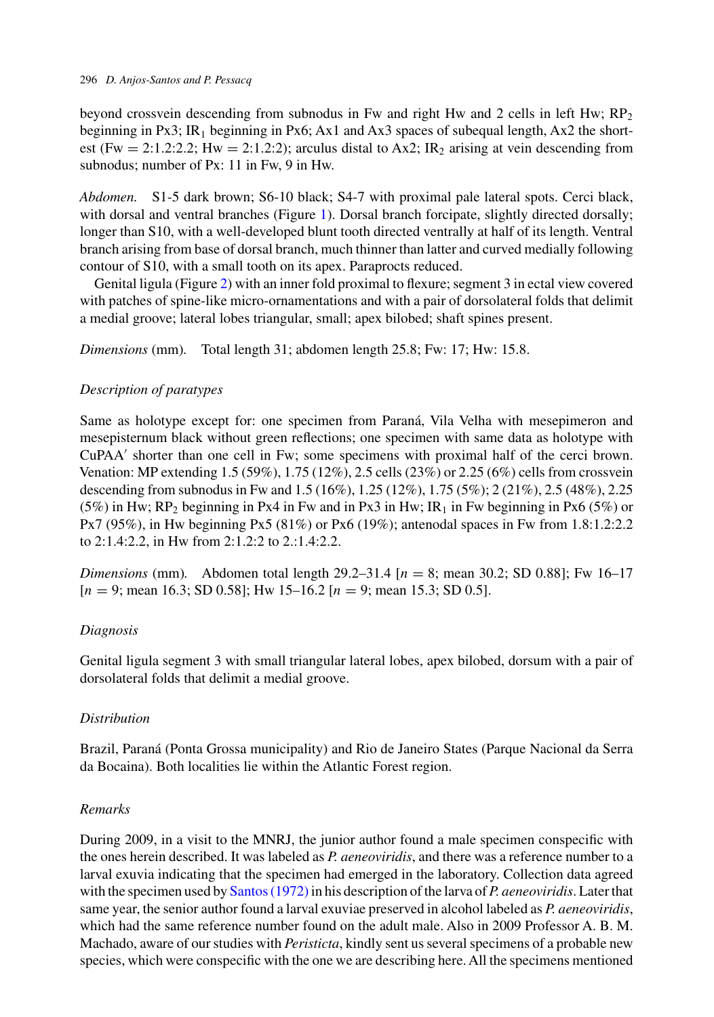beyond crossvein descending from subnodus in Fw and right Hw and 2 cells in left Hw;  $RP<sub>2</sub>$ beginning in Px3; IR<sub>1</sub> beginning in Px6; Ax1 and Ax3 spaces of subequal length, Ax2 the shortest (Fw = 2:1.2:2.2; Hw = 2:1.2:2); arculus distal to Ax2; IR<sub>2</sub> arising at vein descending from subnodus; number of Px: 11 in Fw, 9 in Hw.

*Abdomen.* S1-5 dark brown; S6-10 black; S4-7 with proximal pale lateral spots. Cerci black, with dorsal and ventral branches (Figure [1\)](#page-1-0). Dorsal branch forcipate, slightly directed dorsally; longer than S10, with a well-developed blunt tooth directed ventrally at half of its length. Ventral branch arising from base of dorsal branch, much thinner than latter and curved medially following contour of S10, with a small tooth on its apex. Paraprocts reduced.

Genital ligula (Figure [2\)](#page-2-0) with an inner fold proximal to flexure; segment 3 in ectal view covered with patches of spine-like micro-ornamentations and with a pair of dorsolateral folds that delimit a medial groove; lateral lobes triangular, small; apex bilobed; shaft spines present.

*Dimensions* (mm)*.* Total length 31; abdomen length 25.8; Fw: 17; Hw: 15.8.

# *Description of paratypes*

Same as holotype except for: one specimen from Paraná, Vila Velha with mesepimeron and mesepisternum black without green reflections; one specimen with same data as holotype with CuPAA' shorter than one cell in Fw; some specimens with proximal half of the cerci brown. Venation: MP extending 1.5 (59%), 1.75 (12%), 2.5 cells (23%) or 2.25 (6%) cells from crossvein descending from subnodus in Fw and 1.5 (16%), 1.25 (12%), 1.75 (5%); 2 (21%), 2.5 (48%), 2.25 (5%) in Hw; RP<sub>2</sub> beginning in Px4 in Fw and in Px3 in Hw; IR<sub>1</sub> in Fw beginning in Px6 (5%) or Px7 (95%), in Hw beginning Px5 (81%) or Px6 (19%); antenodal spaces in Fw from 1.8:1.2:2.2 to 2:1.4:2.2, in Hw from 2:1.2:2 to 2.:1.4:2.2.

*Dimensions* (mm)*.* Abdomen total length 29.2–31.4 [*n* = 8; mean 30.2; SD 0.88]; Fw 16–17 [*n* = 9; mean 16.3; SD 0.58]; Hw 15–16.2 [*n* = 9; mean 15.3; SD 0.5].

# *Diagnosis*

Genital ligula segment 3 with small triangular lateral lobes, apex bilobed, dorsum with a pair of dorsolateral folds that delimit a medial groove.

# *Distribution*

Brazil, Paraná (Ponta Grossa municipality) and Rio de Janeiro States (Parque Nacional da Serra da Bocaina). Both localities lie within the Atlantic Forest region.

# *Remarks*

During 2009, in a visit to the MNRJ, the junior author found a male specimen conspecific with the ones herein described. It was labeled as *P. aeneoviridis*, and there was a reference number to a larval exuvia indicating that the specimen had emerged in the laboratory. Collection data agreed with the specimen used by [Santos \(1972\)](#page-6-0) in his description of the larva of *P. aeneoviridis*. Later that same year, the senior author found a larval exuviae preserved in alcohol labeled as *P. aeneoviridis*, which had the same reference number found on the adult male. Also in 2009 Professor A. B. M. Machado, aware of our studies with *Peristicta*, kindly sent us several specimens of a probable new species, which were conspecific with the one we are describing here. All the specimens mentioned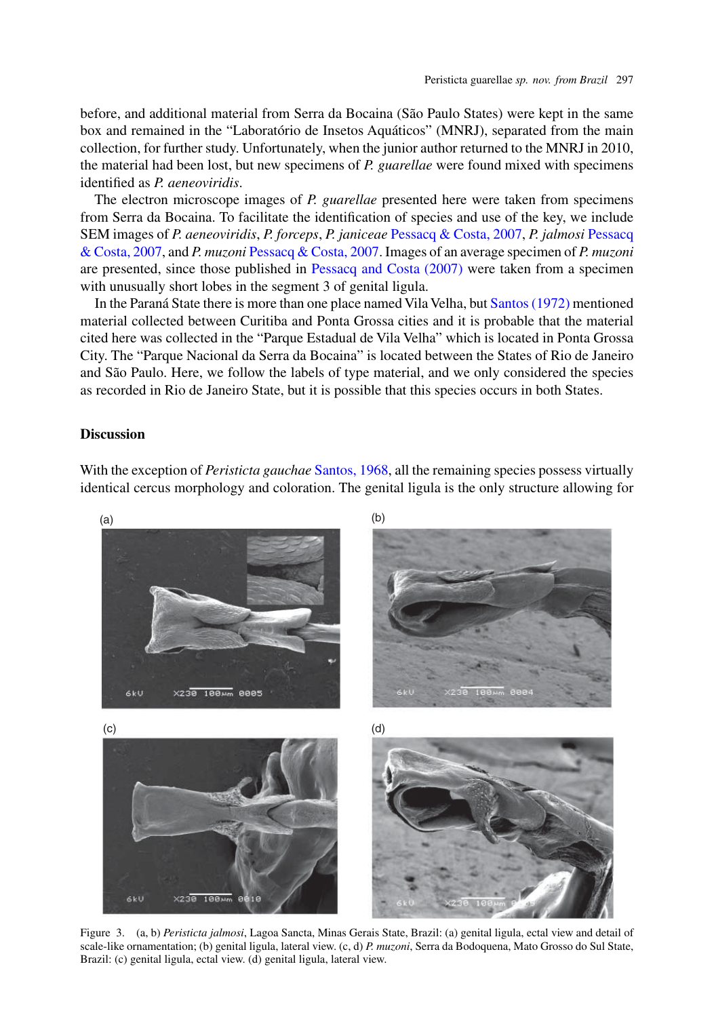<span id="page-4-0"></span>before, and additional material from Serra da Bocaina (São Paulo States) were kept in the same box and remained in the "Laboratório de Insetos Aquáticos" (MNRJ), separated from the main collection, for further study. Unfortunately, when the junior author returned to the MNRJ in 2010, the material had been lost, but new specimens of *P. guarellae* were found mixed with specimens identified as *P. aeneoviridis*.

The electron microscope images of *P. guarellae* presented here were taken from specimens from Serra da Bocaina. To facilitate the identification of species and use of the key, we include SEM images of *P. aeneoviridis*, *P. forceps*, *P. janiceae* [Pessacq & Costa, 2007,](#page-6-0) *P. jalmosi* Pessacq & Costa, 2007, and *P. muzoni* [Pessacq & Costa, 2007.](#page-6-0) Images of an average specimen of *P. muzoni* are presented, since those published in [Pessacq and Costa \(2007\)](#page-6-0) were taken from a specimen with unusually short lobes in the segment 3 of genital ligula.

In the Paraná State there is more than one place named Vila Velha, but [Santos \(1972\)](#page-6-0) mentioned material collected between Curitiba and Ponta Grossa cities and it is probable that the material cited here was collected in the "Parque Estadual de Vila Velha" which is located in Ponta Grossa City. The "Parque Nacional da Serra da Bocaina" is located between the States of Rio de Janeiro and São Paulo. Here, we follow the labels of type material, and we only considered the species as recorded in Rio de Janeiro State, but it is possible that this species occurs in both States.

# **Discussion**

With the exception of *Peristicta gauchae* [Santos, 1968,](#page-6-0) all the remaining species possess virtually identical cercus morphology and coloration. The genital ligula is the only structure allowing for



Figure 3. (a, b) *Peristicta jalmosi*, Lagoa Sancta, Minas Gerais State, Brazil: (a) genital ligula, ectal view and detail of scale-like ornamentation; (b) genital ligula, lateral view. (c, d) *P. muzoni*, Serra da Bodoquena, Mato Grosso do Sul State, Brazil: (c) genital ligula, ectal view. (d) genital ligula, lateral view.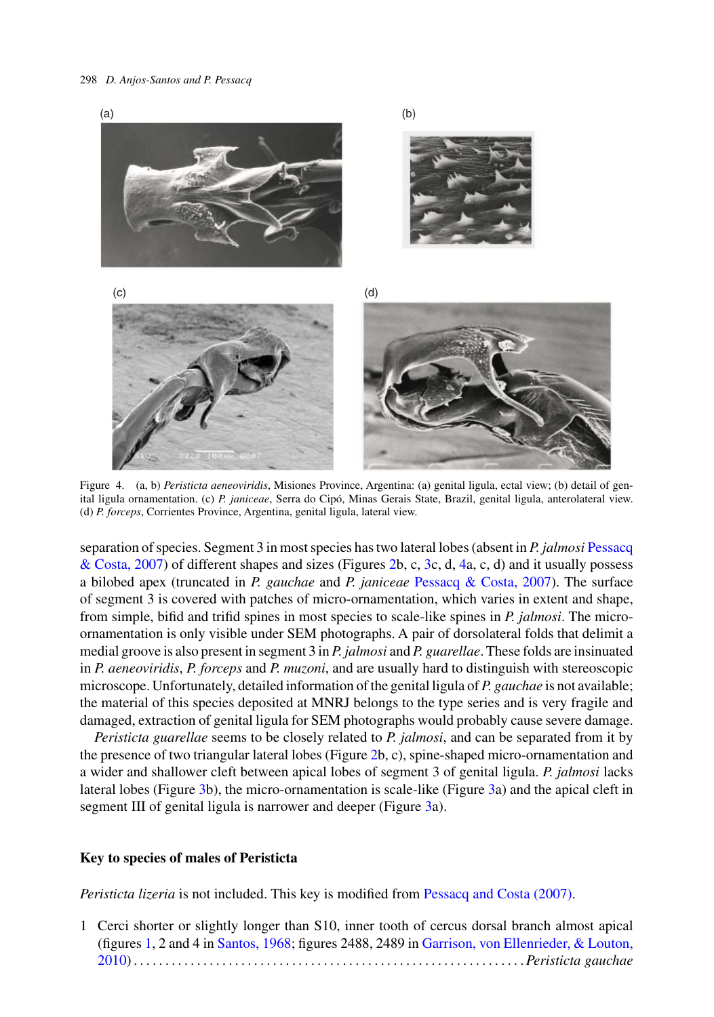#### <span id="page-5-0"></span>298 *D. Anjos-Santos and P. Pessacq*



Figure 4. (a, b) *Peristicta aeneoviridis*, Misiones Province, Argentina: (a) genital ligula, ectal view; (b) detail of genital ligula ornamentation. (c) *P. janiceae*, Serra do Cipó, Minas Gerais State, Brazil, genital ligula, anterolateral view. (d) *P. forceps*, Corrientes Province, Argentina, genital ligula, lateral view.

separation of species. Segment 3 in most species has two lateral lobes (absent in *P. jalmosi* Pessacq & Costa, 2007) of different shapes and sizes (Figures [2b](#page-2-0), c, [3c](#page-4-0), d, 4a, c, d) and it usually possess a bilobed apex (truncated in *P. gauchae* and *P. janiceae* [Pessacq & Costa, 2007\)](#page-6-0). The surface of segment 3 is covered with patches of micro-ornamentation, which varies in extent and shape, from simple, bifid and trifid spines in most species to scale-like spines in *P. jalmosi*. The microornamentation is only visible under SEM photographs. A pair of dorsolateral folds that delimit a medial groove is also present in segment 3 in *P. jalmosi* and *P. guarellae*. These folds are insinuated in *P. aeneoviridis*, *P. forceps* and *P. muzoni*, and are usually hard to distinguish with stereoscopic microscope. Unfortunately, detailed information of the genital ligula of *P. gauchae* is not available; the material of this species deposited at MNRJ belongs to the type series and is very fragile and damaged, extraction of genital ligula for SEM photographs would probably cause severe damage.

*Peristicta guarellae* seems to be closely related to *P. jalmosi*, and can be separated from it by the presence of two triangular lateral lobes (Figure [2b](#page-2-0), c), spine-shaped micro-ornamentation and a wider and shallower cleft between apical lobes of segment 3 of genital ligula. *P. jalmosi* lacks lateral lobes (Figure [3b](#page-4-0)), the micro-ornamentation is scale-like (Figure [3a](#page-4-0)) and the apical cleft in segment III of genital ligula is narrower and deeper (Figure [3a](#page-4-0)).

#### **Key to species of males of Peristicta**

*Peristicta lizeria* is not included. This key is modified from [Pessacq and Costa \(2007\).](#page-6-0)

1 Cerci shorter or slightly longer than S10, inner tooth of cercus dorsal branch almost apical (figures [1,](#page-1-0) 2 and 4 in [Santos, 1968;](#page-6-0) [figures](#page-6-0) [2488,](#page-6-0) [2489](#page-6-0) [in](#page-6-0) Garrison, von Ellenrieder, & Louton, 2010).............................................................. *Peristicta gauchae*